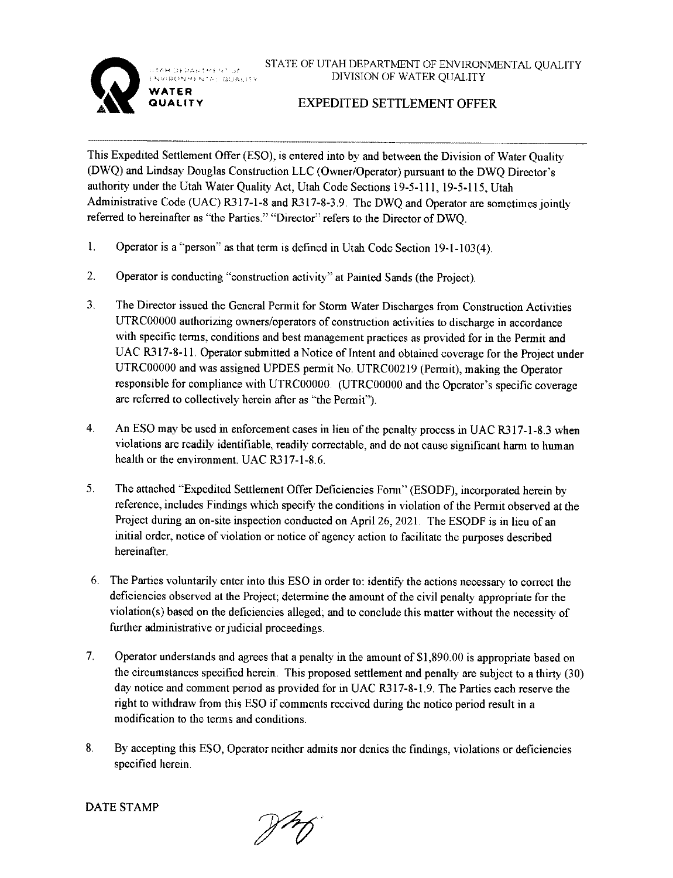OF PARTHERY OF ENVIRONMENTA: QUALITY



**WATER QUALITY**  STATE OF UTAH DEPARTMENT OF ENVIRONMENTAL QUALITY DIVISION OF WATER QUALITY

## **EXPEDITED SETTLEMENT OFFER**

This Expedited Settlement Offer (ESO), is entered into by and between the Division of Water Quality (DWQ) and Lindsay Douglas Construction LLC (Owner/Operator) pursuant to the DWQ Director's authority under the Utah Water Quality Act, Utah Code Sections 19-5-111, 19-5-115, Utah Administrative Code (UAC) R317-1-8 and R317-8-3.9. The DWQ and Operator are sometimes jointly referred to hereinafter as "the Parties." "Director" refers to the Director of DWO.

- I. Operator is a "person" as that term is defined in Utah Code Section 19-1-103(4).
- 2. Operator is conducting "construction activity" at Painted Sands (the Project).
- 3. The Director issued the General Permit for Storm Water Discharges from Construction Activities UTRC00000 authorizing owners/operators of construction activities to discharge in accordance with specific terms, conditions and best management practices as provided for in the Permit and UAC R317-8-11. Operator submitted a Notice of Intent and obtained coverage for the Project under UTRC00000 and was assigned UPDES permit No. UTRC00219 (Permit), making the Operator responsible for compliance with UTRC00000. (UTRC00000 and the Operator's specific coverage are referred to collectively herein after as "the Permit").
- 4. An ESO may be used in enforcement cases in lieu of the penalty process in UAC R317-l-8.3 when violations are readily identifiable, readily correctable, and do not cause significant harm to human health or the environment. UAC R317-1-8.6.
- 5. The attached "Expedited Settlement Offer Deficiencies Form" (ESODF), incorporated herein by reference, includes Findings which specify the conditions in violation of the Permit observed at the Project during an on-site inspection conducted on April 26, 2021. The ESODF is in lieu of an initial order, notice of violation or notice of agency action to facilitate the purposes described hereinafter.
- 6. The Parties voluntarily enter into this ESO in order to: identify the actions necessary to correct the deficiencies observed at the Project; determine the amount of the civil penalty appropriate for the violation(s) based on the deficiencies alleged; and to conclude this matter without the necessity of further administrative or judicial proceedings.
- 7. Operator understands and agrees that a penalty in the amount of \$1,890.00 is appropriate based on the circumstances specified herein. This proposed settlement and penalty are subject to a thirty (30) day notice and comment period as provided for in UAC R317-8-! .9. The Parties each reserve the right to withdraw from this ESO if comments received during the notice period result in a modification to the terms and conditions.
- 8. By accepting this ESO, Operator neither admits nor denies the findings, violations or deficiencies specified herein.

DATE STAMP